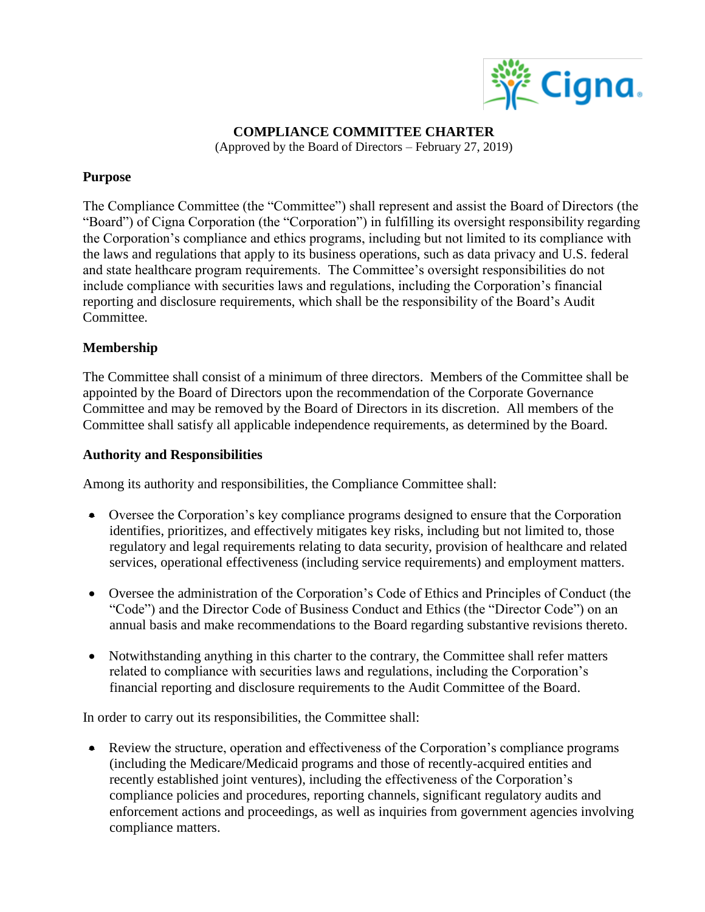

**COMPLIANCE COMMITTEE CHARTER**

(Approved by the Board of Directors – February 27, 2019)

## **Purpose**

The Compliance Committee (the "Committee") shall represent and assist the Board of Directors (the "Board") of Cigna Corporation (the "Corporation") in fulfilling its oversight responsibility regarding the Corporation's compliance and ethics programs, including but not limited to its compliance with the laws and regulations that apply to its business operations, such as data privacy and U.S. federal and state healthcare program requirements. The Committee's oversight responsibilities do not include compliance with securities laws and regulations, including the Corporation's financial reporting and disclosure requirements, which shall be the responsibility of the Board's Audit Committee.

## **Membership**

The Committee shall consist of a minimum of three directors. Members of the Committee shall be appointed by the Board of Directors upon the recommendation of the Corporate Governance Committee and may be removed by the Board of Directors in its discretion. All members of the Committee shall satisfy all applicable independence requirements, as determined by the Board.

## **Authority and Responsibilities**

Among its authority and responsibilities, the Compliance Committee shall:

- Oversee the Corporation's key compliance programs designed to ensure that the Corporation identifies, prioritizes, and effectively mitigates key risks, including but not limited to, those regulatory and legal requirements relating to data security, provision of healthcare and related services, operational effectiveness (including service requirements) and employment matters.
- Oversee the administration of the Corporation's Code of Ethics and Principles of Conduct (the "Code") and the Director Code of Business Conduct and Ethics (the "Director Code") on an annual basis and make recommendations to the Board regarding substantive revisions thereto.
- Notwithstanding anything in this charter to the contrary, the Committee shall refer matters related to compliance with securities laws and regulations, including the Corporation's financial reporting and disclosure requirements to the Audit Committee of the Board.

In order to carry out its responsibilities, the Committee shall:

 Review the structure, operation and effectiveness of the Corporation's compliance programs (including the Medicare/Medicaid programs and those of recently-acquired entities and recently established joint ventures), including the effectiveness of the Corporation's compliance policies and procedures, reporting channels, significant regulatory audits and enforcement actions and proceedings, as well as inquiries from government agencies involving compliance matters.